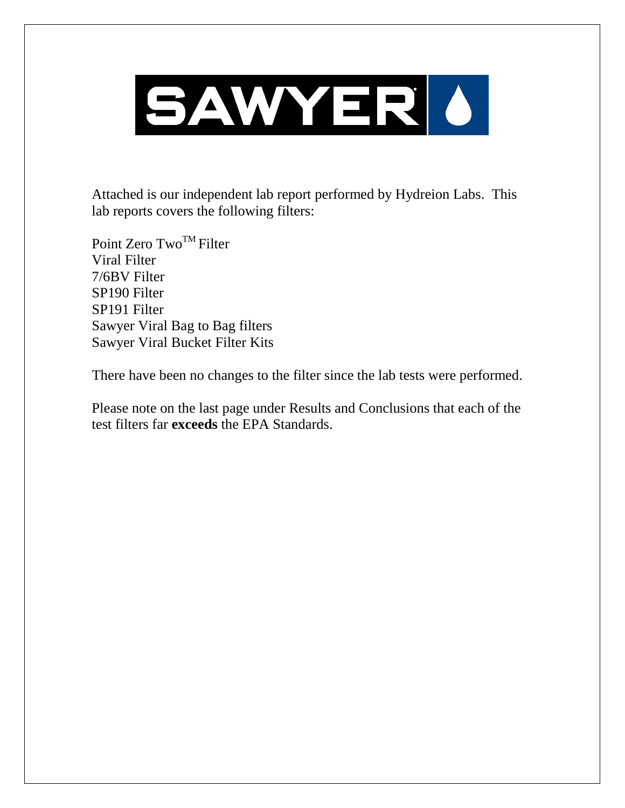

Attached is our independent lab report performed by Hydreion Labs. This lab reports covers the following filters:

Point Zero  $Two^{TM}$  Filter Viral Filter 7/6BV Filter SP190 Filter SP191 Filter Sawyer Viral Bag to Bag filters Sawyer Viral Bucket Filter Kits

There have been no changes to the filter since the lab tests were performed.

Please note on the last page under Results and Conclusions that each of the test filters far **exceeds** the EPA Standards.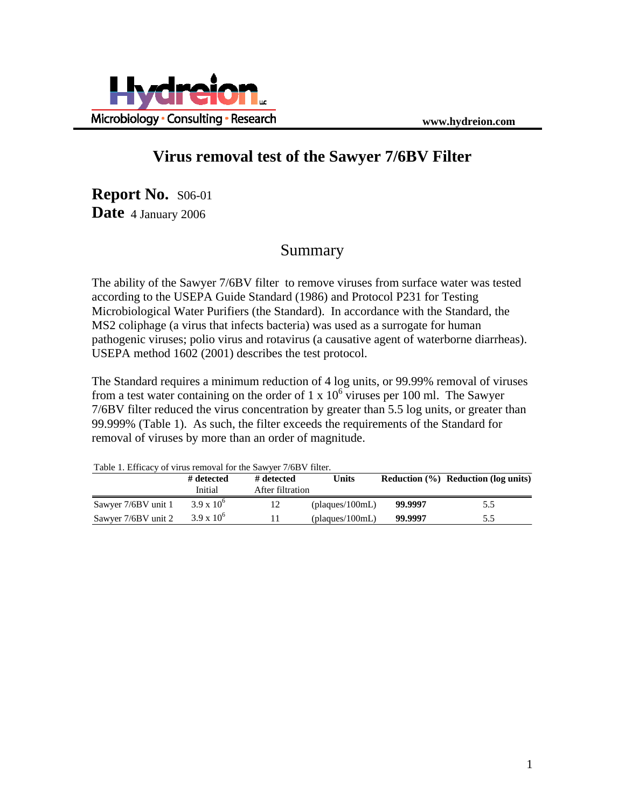

### **Virus removal test of the Sawyer 7/6BV Filter**

**Report No.** S06-01 **Date** 4 January 2006

## Summary

The ability of the Sawyer 7/6BV filter to remove viruses from surface water was tested according to the USEPA Guide Standard (1986) and Protocol P231 for Testing Microbiological Water Purifiers (the Standard). In accordance with the Standard, the MS2 coliphage (a virus that infects bacteria) was used as a surrogate for human pathogenic viruses; polio virus and rotavirus (a causative agent of waterborne diarrheas). USEPA method 1602 (2001) describes the test protocol.

The Standard requires a minimum reduction of 4 log units, or 99.99% removal of viruses from a test water containing on the order of  $1 \times 10^6$  viruses per 100 ml. The Sawyer 7/6BV filter reduced the virus concentration by greater than 5.5 log units, or greater than 99.999% (Table 1). As such, the filter exceeds the requirements of the Standard for removal of viruses by more than an order of magnitude.

| Table 1. Efficacy of virus removal for the Sawyer 7/6B v filter. |                     |                  |                 |         |                                         |  |
|------------------------------------------------------------------|---------------------|------------------|-----------------|---------|-----------------------------------------|--|
|                                                                  | # detected          | # detected       | Units           |         | Reduction $(\% )$ Reduction (log units) |  |
|                                                                  | Initial             | After filtration |                 |         |                                         |  |
| Sawyer 7/6BV unit 1                                              | $3.9 \times 10^{6}$ | 12               | (plaques/100mL) | 99.9997 | 5.5                                     |  |
| Sawyer 7/6BV unit 2                                              | $3.9 \times 10^{6}$ |                  | (plaques/100mL) | 99.9997 | 5.5                                     |  |

Table 1. Efficacy of virus removal for the Sawyer 7/6BV filter.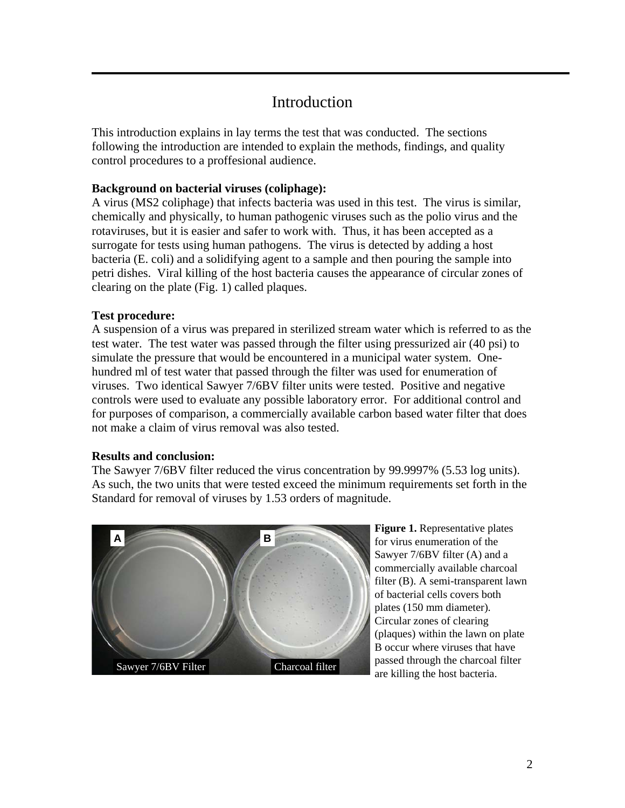# Introduction

This introduction explains in lay terms the test that was conducted. The sections following the introduction are intended to explain the methods, findings, and quality control procedures to a proffesional audience.

#### **Background on bacterial viruses (coliphage):**

A virus (MS2 coliphage) that infects bacteria was used in this test. The virus is similar, chemically and physically, to human pathogenic viruses such as the polio virus and the rotaviruses, but it is easier and safer to work with. Thus, it has been accepted as a surrogate for tests using human pathogens. The virus is detected by adding a host bacteria (E. coli) and a solidifying agent to a sample and then pouring the sample into petri dishes. Viral killing of the host bacteria causes the appearance of circular zones of clearing on the plate (Fig. 1) called plaques.

#### **Test procedure:**

A suspension of a virus was prepared in sterilized stream water which is referred to as the test water. The test water was passed through the filter using pressurized air (40 psi) to simulate the pressure that would be encountered in a municipal water system. Onehundred ml of test water that passed through the filter was used for enumeration of viruses. Two identical Sawyer 7/6BV filter units were tested. Positive and negative controls were used to evaluate any possible laboratory error. For additional control and for purposes of comparison, a commercially available carbon based water filter that does not make a claim of virus removal was also tested.

#### **Results and conclusion:**

The Sawyer 7/6BV filter reduced the virus concentration by 99.9997% (5.53 log units). As such, the two units that were tested exceed the minimum requirements set forth in the Standard for removal of viruses by 1.53 orders of magnitude.



**Figure 1.** Representative plates for virus enumeration of the Sawyer 7/6BV filter (A) and a commercially available charcoal filter (B). A semi-transparent lawn of bacterial cells covers both plates (150 mm diameter). Circular zones of clearing (plaques) within the lawn on plate B occur where viruses that have passed through the charcoal filter are killing the host bacteria.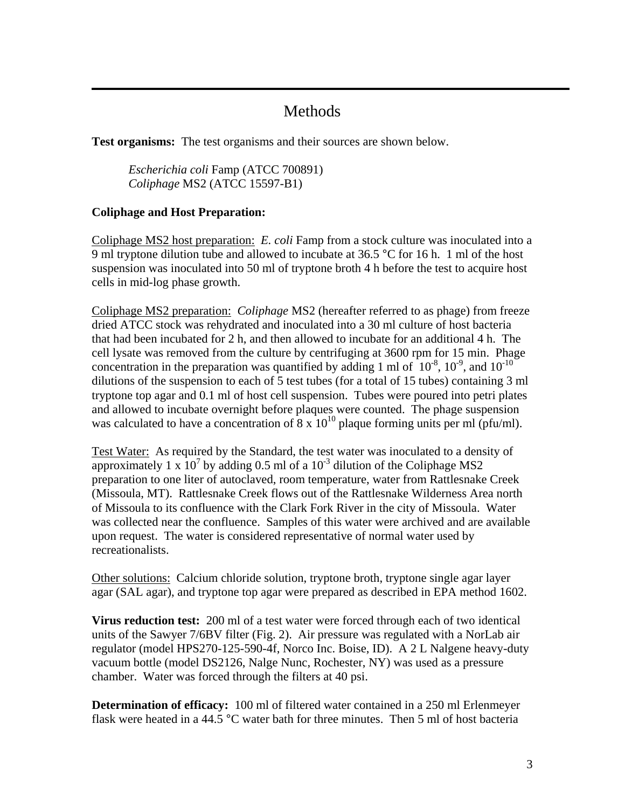## Methods

**Test organisms:** The test organisms and their sources are shown below.

*Escherichia coli* Famp (ATCC 700891) *Coliphage* MS2 (ATCC 15597-B1)

#### **Coliphage and Host Preparation:**

Coliphage MS2 host preparation: *E. coli* Famp from a stock culture was inoculated into a 9 ml tryptone dilution tube and allowed to incubate at 36.5  $\degree$ C for 16 h. 1 ml of the host suspension was inoculated into 50 ml of tryptone broth 4 h before the test to acquire host cells in mid-log phase growth.

Coliphage MS2 preparation:*Coliphage* MS2 (hereafter referred to as phage) from freeze dried ATCC stock was rehydrated and inoculated into a 30 ml culture of host bacteria that had been incubated for 2 h, and then allowed to incubate for an additional 4 h. The cell lysate was removed from the culture by centrifuging at 3600 rpm for 15 min. Phage concentration in the preparation was quantified by adding 1 ml of  $10^{-8}$ ,  $10^{-9}$ , and  $10^{-10}$ dilutions of the suspension to each of 5 test tubes (for a total of 15 tubes) containing 3 ml tryptone top agar and 0.1 ml of host cell suspension. Tubes were poured into petri plates and allowed to incubate overnight before plaques were counted. The phage suspension was calculated to have a concentration of  $8 \times 10^{10}$  plaque forming units per ml (pfu/ml).

Test Water:As required by the Standard, the test water was inoculated to a density of approximately 1 x  $10^7$  by adding 0.5 ml of a  $10^{-3}$  dilution of the Coliphage MS2 preparation to one liter of autoclaved, room temperature, water from Rattlesnake Creek (Missoula, MT). Rattlesnake Creek flows out of the Rattlesnake Wilderness Area north of Missoula to its confluence with the Clark Fork River in the city of Missoula. Water was collected near the confluence. Samples of this water were archived and are available upon request. The water is considered representative of normal water used by recreationalists.

Other solutions: Calcium chloride solution, tryptone broth, tryptone single agar layer agar (SAL agar), and tryptone top agar were prepared as described in EPA method 1602.

**Virus reduction test:** 200 ml of a test water were forced through each of two identical units of the Sawyer 7/6BV filter (Fig. 2). Air pressure was regulated with a NorLab air regulator (model HPS270-125-590-4f, Norco Inc. Boise, ID). A 2 L Nalgene heavy-duty vacuum bottle (model DS2126, Nalge Nunc, Rochester, NY) was used as a pressure chamber. Water was forced through the filters at 40 psi.

**Determination of efficacy:** 100 ml of filtered water contained in a 250 ml Erlenmeyer flask were heated in a 44.5 °C water bath for three minutes. Then 5 ml of host bacteria